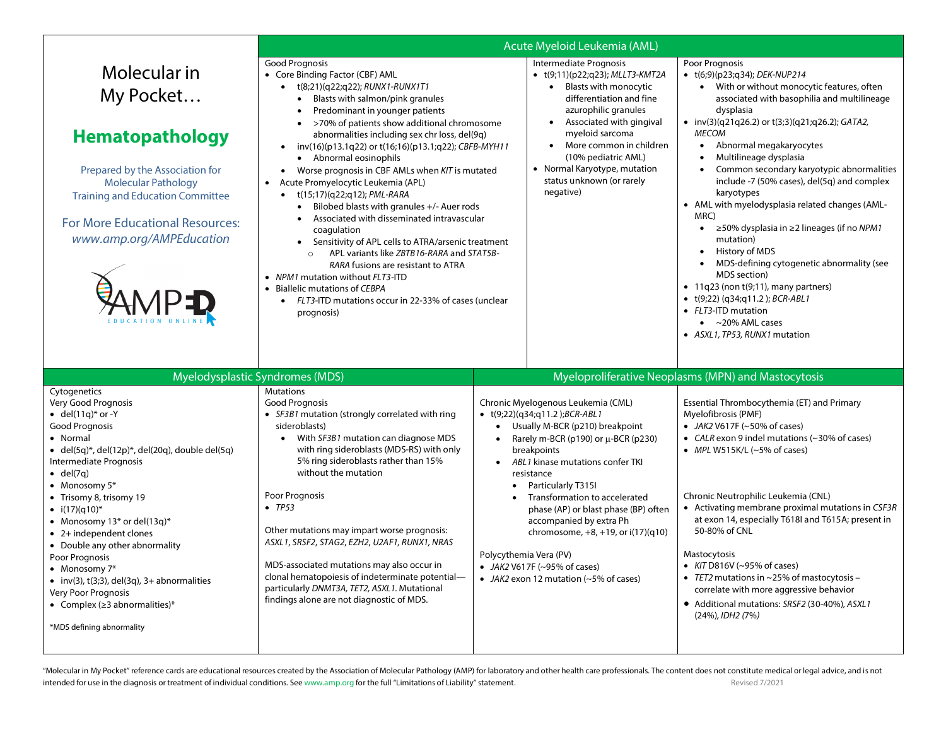|                                                                                                                                                                                                                                                                                                                                                                                                                                                                                                                                                                                                    | Acute Myeloid Leukemia (AML)                                                                                                                                                                                                                                                                                                                                                                                                                                                                                                                                                                                                                                                                                                                                                                                                                                                                              |                                                               |                                                                                                                                                                                                                                                                                                                                                                                                                                                                                             |                                                                                                                                                                                                                                                                                                                                                                                                                                                                                                                                                                                                                                                                                                                                                                                                           |  |  |
|----------------------------------------------------------------------------------------------------------------------------------------------------------------------------------------------------------------------------------------------------------------------------------------------------------------------------------------------------------------------------------------------------------------------------------------------------------------------------------------------------------------------------------------------------------------------------------------------------|-----------------------------------------------------------------------------------------------------------------------------------------------------------------------------------------------------------------------------------------------------------------------------------------------------------------------------------------------------------------------------------------------------------------------------------------------------------------------------------------------------------------------------------------------------------------------------------------------------------------------------------------------------------------------------------------------------------------------------------------------------------------------------------------------------------------------------------------------------------------------------------------------------------|---------------------------------------------------------------|---------------------------------------------------------------------------------------------------------------------------------------------------------------------------------------------------------------------------------------------------------------------------------------------------------------------------------------------------------------------------------------------------------------------------------------------------------------------------------------------|-----------------------------------------------------------------------------------------------------------------------------------------------------------------------------------------------------------------------------------------------------------------------------------------------------------------------------------------------------------------------------------------------------------------------------------------------------------------------------------------------------------------------------------------------------------------------------------------------------------------------------------------------------------------------------------------------------------------------------------------------------------------------------------------------------------|--|--|
| Molecular in<br>My Pocket<br><b>Hematopathology</b><br>Prepared by the Association for<br><b>Molecular Pathology</b><br><b>Training and Education Committee</b><br>For More Educational Resources:<br>www.amp.org/AMPEducation                                                                                                                                                                                                                                                                                                                                                                     | Good Prognosis<br>• Core Binding Factor (CBF) AML<br>• t(8;21)(q22;q22); RUNX1-RUNX1T1<br>• Blasts with salmon/pink granules<br>Predominant in younger patients<br>>70% of patients show additional chromosome<br>abnormalities including sex chr loss, del(9q)<br>inv(16)(p13.1q22) or t(16;16)(p13.1;q22); CBFB-MYH11<br>• Abnormal eosinophils<br>Worse prognosis in CBF AMLs when KIT is mutated<br>$\bullet$<br>Acute Promyelocytic Leukemia (APL)<br>t(15;17)(q22;q12); PML-RARA<br>Bilobed blasts with granules $+/-$ Auer rods<br>$\bullet$<br>Associated with disseminated intravascular<br>coagulation<br>• Sensitivity of APL cells to ATRA/arsenic treatment<br>APL variants like ZBTB16-RARA and STAT5B-<br>RARA fusions are resistant to ATRA<br>• NPM1 mutation without FLT3-ITD<br>• Biallelic mutations of CEBPA<br>• FLT3-ITD mutations occur in 22-33% of cases (unclear<br>prognosis) |                                                               | Intermediate Prognosis<br>• t(9;11)(p22;q23); MLLT3-KMT2A<br>• Blasts with monocytic<br>differentiation and fine<br>azurophilic granules<br>Associated with gingival<br>myeloid sarcoma<br>More common in children<br>$\bullet$<br>(10% pediatric AML)<br>• Normal Karyotype, mutation<br>status unknown (or rarely<br>negative)                                                                                                                                                            | Poor Prognosis<br>• t(6;9)(p23;q34); DEK-NUP214<br>• With or without monocytic features, often<br>associated with basophilia and multilineage<br>dysplasia<br>• $inv(3)(q21q26.2)$ or $t(3;3)(q21q26.2)$ ; GATA2,<br><b>MECOM</b><br>Abnormal megakaryocytes<br>$\bullet$<br>Multilineage dysplasia<br>Common secondary karyotypic abnormalities<br>include -7 (50% cases), del(5q) and complex<br>karyotypes<br>• AML with myelodysplasia related changes (AML-<br>MRC)<br>≥50% dysplasia in ≥2 lineages (if no NPM1<br>$\bullet$<br>mutation)<br>• History of MDS<br>MDS-defining cytogenetic abnormality (see<br>MDS section)<br>$\bullet$ 11q23 (non t(9;11), many partners)<br>• $t(9;22)$ (q34;q11.2); BCR-ABL1<br>• FLT3-ITD mutation<br>$\bullet$ ~20% AML cases<br>• ASXL1, TP53, RUNX1 mutation |  |  |
|                                                                                                                                                                                                                                                                                                                                                                                                                                                                                                                                                                                                    | Myelodysplastic Syndromes (MDS)                                                                                                                                                                                                                                                                                                                                                                                                                                                                                                                                                                                                                                                                                                                                                                                                                                                                           |                                                               |                                                                                                                                                                                                                                                                                                                                                                                                                                                                                             | Myeloproliferative Neoplasms (MPN) and Mastocytosis                                                                                                                                                                                                                                                                                                                                                                                                                                                                                                                                                                                                                                                                                                                                                       |  |  |
| Cytogenetics<br>Very Good Prognosis<br>$\bullet$ del(11q)* or -Y<br><b>Good Prognosis</b><br>• Normal<br>• del $(5q)^*$ , del $(12p)^*$ , del $(20q)$ , double del $(5q)$<br>Intermediate Prognosis<br>$\bullet$ del(7q)<br>$\bullet$ Monosomy $5^*$<br>• Trisomy 8, trisomy 19<br>• $i(17)(q10)^*$<br>• Monosomy $13*$ or del( $13q)*$<br>• 2+ independent clones<br>• Double any other abnormality<br>Poor Prognosis<br>$\bullet$ Monosomy 7*<br>$\bullet$ inv(3), t(3;3), del(3q), 3+ abnormalities<br>Very Poor Prognosis<br>• Complex ( $\geq$ 3 abnormalities)*<br>*MDS defining abnormality | Mutations<br><b>Good Prognosis</b><br>• SF3B1 mutation (strongly correlated with ring<br>sideroblasts)<br>With SF3B1 mutation can diagnose MDS<br>with ring sideroblasts (MDS-RS) with only<br>5% ring sideroblasts rather than 15%<br>without the mutation<br>Poor Prognosis<br>$\bullet$ TP53<br>Other mutations may impart worse prognosis:<br>ASXL1, SRSF2, STAG2, EZH2, U2AF1, RUNX1, NRAS<br>MDS-associated mutations may also occur in<br>clonal hematopoiesis of indeterminate potential-<br>particularly DNMT3A, TET2, ASXL1. Mutational<br>findings alone are not diagnostic of MDS.                                                                                                                                                                                                                                                                                                            | $\bullet$<br>$\bullet$<br>$\bullet$<br>Polycythemia Vera (PV) | Chronic Myelogenous Leukemia (CML)<br>$\bullet$ t(9;22)(q34;q11.2);BCR-ABL1<br>Usually M-BCR (p210) breakpoint<br>Rarely m-BCR (p190) or $\mu$ -BCR (p230)<br>breakpoints<br>ABL1 kinase mutations confer TKI<br>resistance<br>Particularly T315I<br>Transformation to accelerated<br>phase (AP) or blast phase (BP) often<br>accompanied by extra Ph<br>chromosome, $+8$ , $+19$ , or $i(17)(q10)$<br>• JAK2 V617F ( $\sim$ 95% of cases)<br>• JAK2 exon 12 mutation ( $\sim$ 5% of cases) | Essential Thrombocythemia (ET) and Primary<br>Myelofibrosis (PMF)<br>• JAK2 V617F ( $\sim$ 50% of cases)<br>• CALR exon 9 indel mutations (~30% of cases)<br>• MPL W515K/L $(-5\% \text{ of cases})$<br>Chronic Neutrophilic Leukemia (CNL)<br>• Activating membrane proximal mutations in CSF3R<br>at exon 14, especially T618I and T615A; present in<br>50-80% of CNL<br>Mastocytosis<br>• $KIT$ D816V (~95% of cases)<br>• TET2 mutations in $\sim$ 25% of mastocytosis –<br>correlate with more aggressive behavior<br>• Additional mutations: SRSF2 (30-40%), ASXL1<br>(24%), IDH2 (7%)                                                                                                                                                                                                              |  |  |

"Molecular in My Pocket" reference cards are educational resources created by the Association of Molecular Pathology (AMP) for laboratory and other health care professionals. The content does not constitute medical or lega intended for use in the diagnosis or treatment of individual conditions. See www.amp.org for the full "Limitations of Liability" statement.